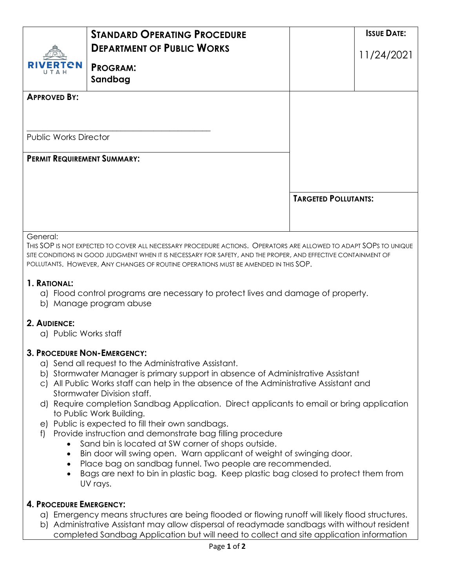|                                    | <b><i>STANDARD OPERATING PROCEDURE</i></b><br><b>DEPARTMENT OF PUBLIC WORKS</b>                                                                                                                                                                                                                                           |                             | <b>ISSUE DATE:</b> |
|------------------------------------|---------------------------------------------------------------------------------------------------------------------------------------------------------------------------------------------------------------------------------------------------------------------------------------------------------------------------|-----------------------------|--------------------|
| <b>RIVERTON</b>                    | <b>PROGRAM:</b><br>Sandbag                                                                                                                                                                                                                                                                                                |                             | 11/24/2021         |
| <b>APPROVED BY:</b>                |                                                                                                                                                                                                                                                                                                                           |                             |                    |
| <b>Public Works Director</b>       |                                                                                                                                                                                                                                                                                                                           |                             |                    |
| <b>PERMIT REQUIREMENT SUMMARY:</b> |                                                                                                                                                                                                                                                                                                                           |                             |                    |
|                                    |                                                                                                                                                                                                                                                                                                                           | <b>TARGETED POLLUTANTS:</b> |                    |
| General:                           | This SOP is not expected to cover all necessary procedure actions. Operators are allowed to adapt SOPs to unique<br>SITE CONDITIONS IN GOOD JUDGMENT WHEN IT IS NECESSARY FOR SAFETY, AND THE PROPER, AND EFFECTIVE CONTAINMENT OF<br>POLLUTANTS. HOWEVER, ANY CHANGES OF ROUTINE OPERATIONS MUST BE AMENDED IN THIS SOP. |                             |                    |
| 1. RATIONAL:                       | a) Flood control programs are necessary to protect lives and damage of property                                                                                                                                                                                                                                           |                             |                    |

- a) Flood control programs are necessary to protect lives and damage of property.
- b) Manage program abuse

## **2. AUDIENCE:**

a) Public Works staff

## **3. PROCEDURE NON-EMERGENCY:**

- a) Send all request to the Administrative Assistant.
- b) Stormwater Manager is primary support in absence of Administrative Assistant
- c) All Public Works staff can help in the absence of the Administrative Assistant and Stormwater Division staff.
- d) Require completion Sandbag Application. Direct applicants to email or bring application to Public Work Building.
- e) Public is expected to fill their own sandbags.
- f) Provide instruction and demonstrate bag filling procedure
	- Sand bin is located at SW corner of shops outside.
	- Bin door will swing open. Warn applicant of weight of swinging door.
	- Place bag on sandbag funnel. Two people are recommended.
	- Bags are next to bin in plastic bag. Keep plastic bag closed to protect them from UV rays.

## **4. PROCEDURE EMERGENCY:**

- a) Emergency means structures are being flooded or flowing runoff will likely flood structures.
- b) Administrative Assistant may allow dispersal of readymade sandbags with without resident completed Sandbag Application but will need to collect and site application information